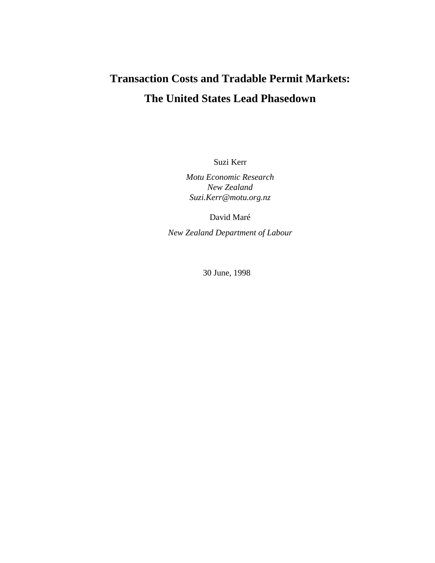# **Transaction Costs and Tradable Permit Markets: The United States Lead Phasedown**

Suzi Kerr

*Motu Economic Research New Zealand Suzi.Kerr@motu.org.nz* 

David Maré

*New Zealand Department of Labour*

30 June, 1998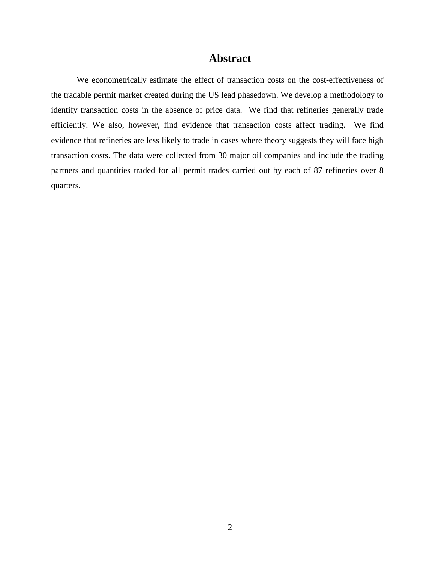## **Abstract**

We econometrically estimate the effect of transaction costs on the cost-effectiveness of the tradable permit market created during the US lead phasedown. We develop a methodology to identify transaction costs in the absence of price data. We find that refineries generally trade efficiently. We also, however, find evidence that transaction costs affect trading. We find evidence that refineries are less likely to trade in cases where theory suggests they will face high transaction costs. The data were collected from 30 major oil companies and include the trading partners and quantities traded for all permit trades carried out by each of 87 refineries over 8 quarters.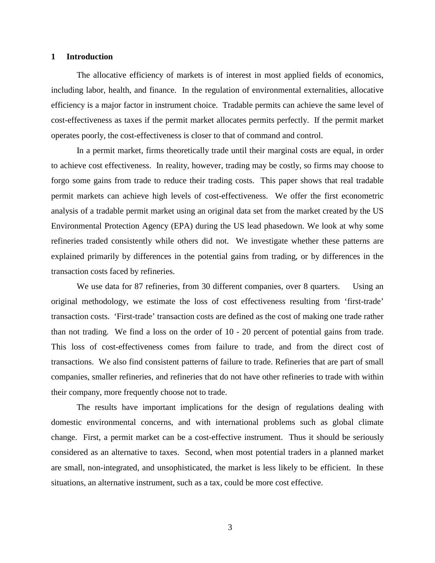#### **1 Introduction**

The allocative efficiency of markets is of interest in most applied fields of economics, including labor, health, and finance. In the regulation of environmental externalities, allocative efficiency is a major factor in instrument choice. Tradable permits can achieve the same level of cost-effectiveness as taxes if the permit market allocates permits perfectly. If the permit market operates poorly, the cost-effectiveness is closer to that of command and control.

In a permit market, firms theoretically trade until their marginal costs are equal, in order to achieve cost effectiveness. In reality, however, trading may be costly, so firms may choose to forgo some gains from trade to reduce their trading costs. This paper shows that real tradable permit markets can achieve high levels of cost-effectiveness. We offer the first econometric analysis of a tradable permit market using an original data set from the market created by the US Environmental Protection Agency (EPA) during the US lead phasedown. We look at why some refineries traded consistently while others did not. We investigate whether these patterns are explained primarily by differences in the potential gains from trading, or by differences in the transaction costs faced by refineries.

We use data for 87 refineries, from 30 different companies, over 8 quarters. Using an original methodology, we estimate the loss of cost effectiveness resulting from 'first-trade' transaction costs. 'First-trade' transaction costs are defined as the cost of making one trade rather than not trading. We find a loss on the order of 10 - 20 percent of potential gains from trade. This loss of cost-effectiveness comes from failure to trade, and from the direct cost of transactions. We also find consistent patterns of failure to trade. Refineries that are part of small companies, smaller refineries, and refineries that do not have other refineries to trade with within their company, more frequently choose not to trade.

The results have important implications for the design of regulations dealing with domestic environmental concerns, and with international problems such as global climate change. First, a permit market can be a cost-effective instrument. Thus it should be seriously considered as an alternative to taxes. Second, when most potential traders in a planned market are small, non-integrated, and unsophisticated, the market is less likely to be efficient. In these situations, an alternative instrument, such as a tax, could be more cost effective.

3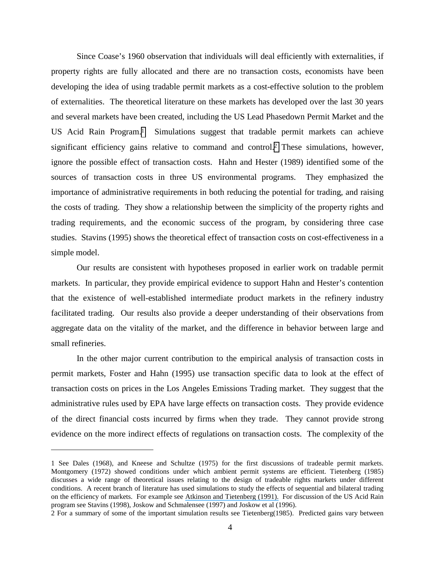Since Coase's 1960 observation that individuals will deal efficiently with externalities, if property rights are fully allocated and there are no transaction costs, economists have been developing the idea of using tradable permit markets as a cost-effective solution to the problem of externalities. The theoretical literature on these markets has developed over the last 30 years and several markets have been created, including the US Lead Phasedown Permit Market and the US Acid Rain Program.<sup>1</sup> Simulations suggest that tradable permit markets can achieve significant efficiency gains relative to command and control.2 These simulations, however, ignore the possible effect of transaction costs. Hahn and Hester (1989) identified some of the sources of transaction costs in three US environmental programs. They emphasized the importance of administrative requirements in both reducing the potential for trading, and raising the costs of trading. They show a relationship between the simplicity of the property rights and trading requirements, and the economic success of the program, by considering three case studies. Stavins (1995) shows the theoretical effect of transaction costs on cost-effectiveness in a simple model.

Our results are consistent with hypotheses proposed in earlier work on tradable permit markets. In particular, they provide empirical evidence to support Hahn and Hester's contention that the existence of well-established intermediate product markets in the refinery industry facilitated trading. Our results also provide a deeper understanding of their observations from aggregate data on the vitality of the market, and the difference in behavior between large and small refineries.

In the other major current contribution to the empirical analysis of transaction costs in permit markets, Foster and Hahn (1995) use transaction specific data to look at the effect of transaction costs on prices in the Los Angeles Emissions Trading market. They suggest that the administrative rules used by EPA have large effects on transaction costs. They provide evidence of the direct financial costs incurred by firms when they trade. They cannot provide strong evidence on the more indirect effects of regulations on transaction costs. The complexity of the

<sup>1</sup> See Dales (1968), and Kneese and Schultze (1975) for the first discussions of tradeable permit markets. Montgomery (1972) showed conditions under which ambient permit systems are efficient. Tietenberg (1985) discusses a wide range of theoretical issues relating to the design of tradeable rights markets under different conditions. A recent branch of literature has used simulations to study the effects of sequential and bilateral trading on the efficiency of markets. For example see [Atkinson and Tietenberg \(1991\).](https://www.researchgate.net/publication/223818166_Market_Failure_in_Incentive-Base_Regulation_The_Case_of_Emissions_Trading?el=1_x_8&enrichId=rgreq-df5fcff1-b2b3-4d13-ba23-d09babaade80&enrichSource=Y292ZXJQYWdlOzIyODM5MDk1OTtBUzo5NzY1ODE2OTQ2Mjc4NkAxNDAwMjk0OTMwMTc1) For discussion of the US Acid Rain program see Stavins (1998), Joskow and Schmalensee (1997) and Joskow et al (1996).

<sup>2</sup> For a summary of some of the important simulation results see Tietenberg(1985). Predicted gains vary between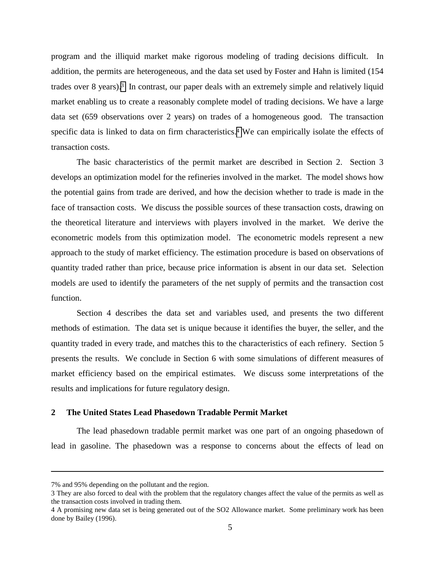program and the illiquid market make rigorous modeling of trading decisions difficult. In addition, the permits are heterogeneous, and the data set used by Foster and Hahn is limited (154 trades over 8 years).3 In contrast, our paper deals with an extremely simple and relatively liquid market enabling us to create a reasonably complete model of trading decisions. We have a large data set (659 observations over 2 years) on trades of a homogeneous good. The transaction specific data is linked to data on firm characteristics.<sup>4</sup> We can empirically isolate the effects of transaction costs.

The basic characteristics of the permit market are described in Section 2. Section 3 develops an optimization model for the refineries involved in the market. The model shows how the potential gains from trade are derived, and how the decision whether to trade is made in the face of transaction costs. We discuss the possible sources of these transaction costs, drawing on the theoretical literature and interviews with players involved in the market. We derive the econometric models from this optimization model. The econometric models represent a new approach to the study of market efficiency. The estimation procedure is based on observations of quantity traded rather than price, because price information is absent in our data set. Selection models are used to identify the parameters of the net supply of permits and the transaction cost function.

Section 4 describes the data set and variables used, and presents the two different methods of estimation. The data set is unique because it identifies the buyer, the seller, and the quantity traded in every trade, and matches this to the characteristics of each refinery. Section 5 presents the results. We conclude in Section 6 with some simulations of different measures of market efficiency based on the empirical estimates. We discuss some interpretations of the results and implications for future regulatory design.

#### **2 The United States Lead Phasedown Tradable Permit Market**

The lead phasedown tradable permit market was one part of an ongoing phasedown of lead in gasoline. The phasedown was a response to concerns about the effects of lead on

-

<sup>7%</sup> and 95% depending on the pollutant and the region.

<sup>3</sup> They are also forced to deal with the problem that the regulatory changes affect the value of the permits as well as the transaction costs involved in trading them.

<sup>4</sup> A promising new data set is being generated out of the SO2 Allowance market. Some preliminary work has been done by Bailey (1996).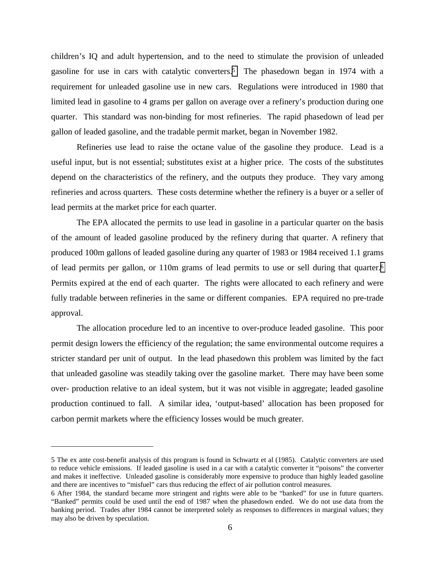children's IQ and adult hypertension, and to the need to stimulate the provision of unleaded gasoline for use in cars with catalytic converters.5 The phasedown began in 1974 with a requirement for unleaded gasoline use in new cars. Regulations were introduced in 1980 that limited lead in gasoline to 4 grams per gallon on average over a refinery's production during one quarter. This standard was non-binding for most refineries. The rapid phasedown of lead per gallon of leaded gasoline, and the tradable permit market, began in November 1982.

Refineries use lead to raise the octane value of the gasoline they produce. Lead is a useful input, but is not essential; substitutes exist at a higher price. The costs of the substitutes depend on the characteristics of the refinery, and the outputs they produce. They vary among refineries and across quarters. These costs determine whether the refinery is a buyer or a seller of lead permits at the market price for each quarter.

The EPA allocated the permits to use lead in gasoline in a particular quarter on the basis of the amount of leaded gasoline produced by the refinery during that quarter. A refinery that produced 100m gallons of leaded gasoline during any quarter of 1983 or 1984 received 1.1 grams of lead permits per gallon, or 110m grams of lead permits to use or sell during that quarter.6 Permits expired at the end of each quarter. The rights were allocated to each refinery and were fully tradable between refineries in the same or different companies. EPA required no pre-trade approval.

The allocation procedure led to an incentive to over-produce leaded gasoline. This poor permit design lowers the efficiency of the regulation; the same environmental outcome requires a stricter standard per unit of output. In the lead phasedown this problem was limited by the fact that unleaded gasoline was steadily taking over the gasoline market. There may have been some over- production relative to an ideal system, but it was not visible in aggregate; leaded gasoline production continued to fall. A similar idea, 'output-based' allocation has been proposed for carbon permit markets where the efficiency losses would be much greater.

<sup>5</sup> The ex ante cost-benefit analysis of this program is found in Schwartz et al (1985). Catalytic converters are used to reduce vehicle emissions. If leaded gasoline is used in a car with a catalytic converter it "poisons" the converter and makes it ineffective. Unleaded gasoline is considerably more expensive to produce than highly leaded gasoline and there are incentives to "misfuel" cars thus reducing the effect of air pollution control measures.

<sup>6</sup> After 1984, the standard became more stringent and rights were able to be "banked" for use in future quarters. "Banked" permits could be used until the end of 1987 when the phasedown ended. We do not use data from the banking period. Trades after 1984 cannot be interpreted solely as responses to differences in marginal values; they may also be driven by speculation.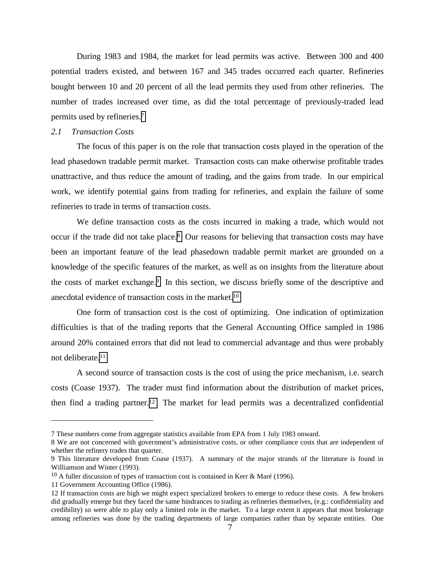During 1983 and 1984, the market for lead permits was active. Between 300 and 400 potential traders existed, and between 167 and 345 trades occurred each quarter. Refineries bought between 10 and 20 percent of all the lead permits they used from other refineries. The number of trades increased over time, as did the total percentage of previously-traded lead permits used by refineries.7

#### *2.1 Transaction Costs*

The focus of this paper is on the role that transaction costs played in the operation of the lead phasedown tradable permit market. Transaction costs can make otherwise profitable trades unattractive, and thus reduce the amount of trading, and the gains from trade. In our empirical work, we identify potential gains from trading for refineries, and explain the failure of some refineries to trade in terms of transaction costs.

We define transaction costs as the costs incurred in making a trade, which would not occur if the trade did not take place.8 Our reasons for believing that transaction costs may have been an important feature of the lead phasedown tradable permit market are grounded on a knowledge of the specific features of the market, as well as on insights from the literature about the costs of market exchange.9 In this section, we discuss briefly some of the descriptive and anecdotal evidence of transaction costs in the market.10

One form of transaction cost is the cost of optimizing. One indication of optimization difficulties is that of the trading reports that the General Accounting Office sampled in 1986 around 20% contained errors that did not lead to commercial advantage and thus were probably not deliberate.11

A second source of transaction costs is the cost of using the price mechanism, i.e. search costs (Coase 1937). The trader must find information about the distribution of market prices, then find a trading partner.12 The market for lead permits was a decentralized confidential

<sup>7</sup> These numbers come from aggregate statistics available from EPA from 1 July 1983 onward.

<sup>8</sup> We are not concerned with government's administrative costs, or other compliance costs that are independent of whether the refinery trades that quarter.

<sup>9</sup> This literature developed from Coase (1937). A summary of the major strands of the literature is found in Williamson and Winter (1993).

 $10$  A fuller discussion of types of transaction cost is contained in Kerr & Maré (1996).

<sup>11</sup> Government Accounting Office (1986).

<sup>12</sup> If transaction costs are high we might expect specialized brokers to emerge to reduce these costs. A few brokers did gradually emerge but they faced the same hindrances to trading as refineries themselves, (e.g.: confidentiality and credibility) so were able to play only a limited role in the market. To a large extent it appears that most brokerage among refineries was done by the trading departments of large companies rather than by separate entities. One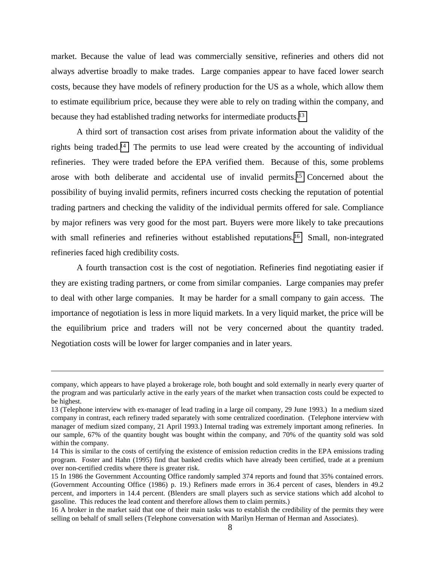market. Because the value of lead was commercially sensitive, refineries and others did not always advertise broadly to make trades. Large companies appear to have faced lower search costs, because they have models of refinery production for the US as a whole, which allow them to estimate equilibrium price, because they were able to rely on trading within the company, and because they had established trading networks for intermediate products.13

A third sort of transaction cost arises from private information about the validity of the rights being traded.14 The permits to use lead were created by the accounting of individual refineries. They were traded before the EPA verified them. Because of this, some problems arose with both deliberate and accidental use of invalid permits.15 Concerned about the possibility of buying invalid permits, refiners incurred costs checking the reputation of potential trading partners and checking the validity of the individual permits offered for sale. Compliance by major refiners was very good for the most part. Buyers were more likely to take precautions with small refineries and refineries without established reputations.<sup>16</sup> Small, non-integrated refineries faced high credibility costs.

A fourth transaction cost is the cost of negotiation. Refineries find negotiating easier if they are existing trading partners, or come from similar companies. Large companies may prefer to deal with other large companies. It may be harder for a small company to gain access. The importance of negotiation is less in more liquid markets. In a very liquid market, the price will be the equilibrium price and traders will not be very concerned about the quantity traded. Negotiation costs will be lower for larger companies and in later years.

company, which appears to have played a brokerage role, both bought and sold externally in nearly every quarter of the program and was particularly active in the early years of the market when transaction costs could be expected to be highest.

<sup>13 (</sup>Telephone interview with ex-manager of lead trading in a large oil company, 29 June 1993.) In a medium sized company in contrast, each refinery traded separately with some centralized coordination. (Telephone interview with manager of medium sized company, 21 April 1993.) Internal trading was extremely important among refineries. In our sample, 67% of the quantity bought was bought within the company, and 70% of the quantity sold was sold within the company.

<sup>14</sup> This is similar to the costs of certifying the existence of emission reduction credits in the EPA emissions trading program. Foster and Hahn (1995) find that banked credits which have already been certified, trade at a premium over non-certified credits where there is greater risk.

<sup>15</sup> In 1986 the Government Accounting Office randomly sampled 374 reports and found that 35% contained errors. (Government Accounting Office (1986) p. 19.) Refiners made errors in 36.4 percent of cases, blenders in 49.2 percent, and importers in 14.4 percent. (Blenders are small players such as service stations which add alcohol to gasoline. This reduces the lead content and therefore allows them to claim permits.)

<sup>16</sup> A broker in the market said that one of their main tasks was to establish the credibility of the permits they were selling on behalf of small sellers (Telephone conversation with Marilyn Herman of Herman and Associates).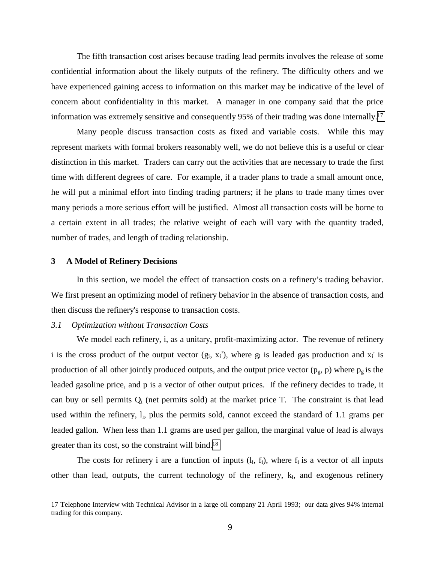The fifth transaction cost arises because trading lead permits involves the release of some confidential information about the likely outputs of the refinery. The difficulty others and we have experienced gaining access to information on this market may be indicative of the level of concern about confidentiality in this market. A manager in one company said that the price information was extremely sensitive and consequently 95% of their trading was done internally.17

Many people discuss transaction costs as fixed and variable costs. While this may represent markets with formal brokers reasonably well, we do not believe this is a useful or clear distinction in this market. Traders can carry out the activities that are necessary to trade the first time with different degrees of care. For example, if a trader plans to trade a small amount once, he will put a minimal effort into finding trading partners; if he plans to trade many times over many periods a more serious effort will be justified. Almost all transaction costs will be borne to a certain extent in all trades; the relative weight of each will vary with the quantity traded, number of trades, and length of trading relationship.

#### **3 A Model of Refinery Decisions**

 $\overline{a}$ 

In this section, we model the effect of transaction costs on a refinery's trading behavior. We first present an optimizing model of refinery behavior in the absence of transaction costs, and then discuss the refinery's response to transaction costs.

#### *3.1 Optimization without Transaction Costs*

We model each refinery, i, as a unitary, profit-maximizing actor. The revenue of refinery i is the cross product of the output vector  $(g_i, x_i')$ , where  $g_i$  is leaded gas production and  $x_i'$  is production of all other jointly produced outputs, and the output price vector  $(p_g, p)$  where  $p_g$  is the leaded gasoline price, and p is a vector of other output prices. If the refinery decides to trade, it can buy or sell permits  $Q_i$  (net permits sold) at the market price T. The constraint is that lead used within the refinery, l<sub>i</sub>, plus the permits sold, cannot exceed the standard of 1.1 grams per leaded gallon. When less than 1.1 grams are used per gallon, the marginal value of lead is always greater than its cost, so the constraint will bind.18

The costs for refinery i are a function of inputs  $(l_i, f_i)$ , where  $f_i$  is a vector of all inputs other than lead, outputs, the current technology of the refinery,  $k_i$ , and exogenous refinery

<sup>17</sup> Telephone Interview with Technical Advisor in a large oil company 21 April 1993; our data gives 94% internal trading for this company.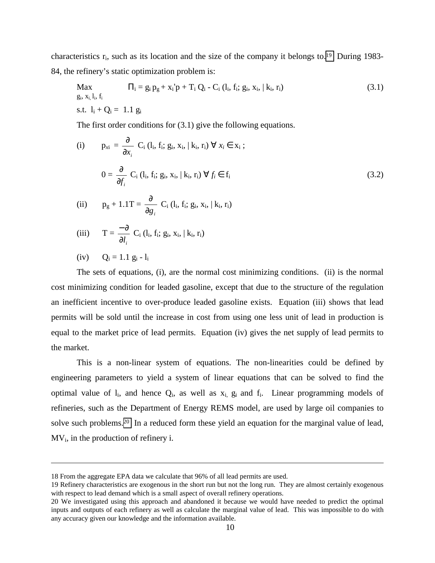characteristics  $r_i$ , such as its location and the size of the company it belongs to.<sup>19</sup> During 1983-84, the refinery's static optimization problem is:

Max 
$$
\Pi_i = g_i p_g + x_i' p + T_i Q_i - C_i (l_i, f_i; g_i, x_i, | k_i, r_i)
$$
  
\n*g\_i, x\_i, l\_i, f\_i*  
\n*s.t.*  $l_i + Q_i = 1.1 g_i$  (3.1)

The first order conditions for (3.1) give the following equations.

(i) 
$$
p_{xi} = \frac{\partial}{\partial x_i} C_i (l_i, f_i; g_i, x_i, | k_i, r_i) \forall x_i \in x_i ;
$$

$$
0 = \frac{\partial}{\partial f_i} C_i (l_i, f_i; g_i, x_i, | k_i, r_i) \forall f_i \in f_i
$$
(3.2)  
(ii) 
$$
p_g + 1.1T = \frac{\partial}{\partial g_i} C_i (l_i, f_i; g_i, x_i, | k_i, r_i)
$$
(iii) 
$$
T = \frac{-\partial}{\partial l_i} C_i (l_i, f_i; g_i, x_i, | k_i, r_i)
$$

(iv) 
$$
Q_i = 1.1 g_i - l_i
$$

 $\overline{a}$ 

The sets of equations, (i), are the normal cost minimizing conditions. (ii) is the normal cost minimizing condition for leaded gasoline, except that due to the structure of the regulation an inefficient incentive to over-produce leaded gasoline exists. Equation (iii) shows that lead permits will be sold until the increase in cost from using one less unit of lead in production is equal to the market price of lead permits. Equation (iv) gives the net supply of lead permits to the market.

This is a non-linear system of equations. The non-linearities could be defined by engineering parameters to yield a system of linear equations that can be solved to find the optimal value of  $l_i$ , and hence  $Q_i$ , as well as  $x_i$ ,  $g_i$  and  $f_i$ . Linear programming models of refineries, such as the Department of Energy REMS model, are used by large oil companies to solve such problems.20 In a reduced form these yield an equation for the marginal value of lead,  $MV_i$ , in the production of refinery i.

<sup>18</sup> From the aggregate EPA data we calculate that 96% of all lead permits are used.

<sup>19</sup> Refinery characteristics are exogenous in the short run but not the long run. They are almost certainly exogenous with respect to lead demand which is a small aspect of overall refinery operations.

<sup>20</sup> We investigated using this approach and abandoned it because we would have needed to predict the optimal inputs and outputs of each refinery as well as calculate the marginal value of lead. This was impossible to do with any accuracy given our knowledge and the information available.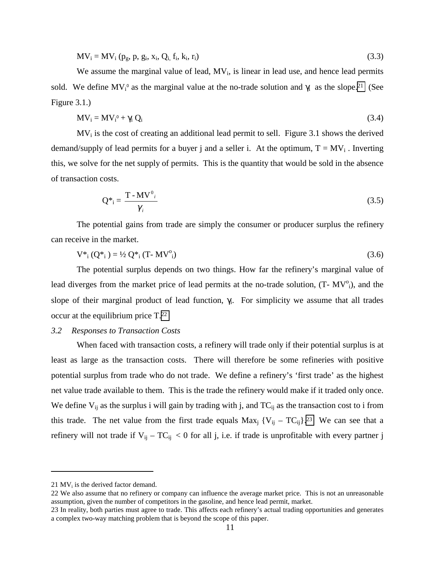$$
MV_i = MV_i (p_g, p, g_i, x_i, Q_i, f_i, k_i, r_i)
$$
\n(3.3)

We assume the marginal value of lead,  $MV_i$ , is linear in lead use, and hence lead permits sold. We define  $MV_i^0$  as the marginal value at the no-trade solution and  $\gamma_i$  as the slope.<sup>21</sup> (See Figure 3.1.)

$$
MV_i = MV_i^0 + \gamma_i Q_i \tag{3.4}
$$

 $MV_i$  is the cost of creating an additional lead permit to sell. Figure 3.1 shows the derived demand/supply of lead permits for a buyer j and a seller i. At the optimum,  $T = MV_i$ . Inverting this, we solve for the net supply of permits. This is the quantity that would be sold in the absence of transaction costs.

$$
Q^*_{i} = \frac{T - MV^0_{i}}{\gamma_{i}} \tag{3.5}
$$

The potential gains from trade are simply the consumer or producer surplus the refinery can receive in the market.

$$
V^*_{i} (Q^*_{i}) = V_2 Q^*_{i} (T - MV^0_{i})
$$
\n(3.6)

The potential surplus depends on two things. How far the refinery's marginal value of lead diverges from the market price of lead permits at the no-trade solution, (T- MV<sup>o</sup><sub>i</sub>), and the slope of their marginal product of lead function,  $\gamma$ <sub>i</sub>. For simplicity we assume that all trades occur at the equilibrium price T.22

#### *3.2 Responses to Transaction Costs*

When faced with transaction costs, a refinery will trade only if their potential surplus is at least as large as the transaction costs. There will therefore be some refineries with positive potential surplus from trade who do not trade. We define a refinery's 'first trade' as the highest net value trade available to them. This is the trade the refinery would make if it traded only once. We define  $V_{ij}$  as the surplus i will gain by trading with j, and  $TC_{ij}$  as the transaction cost to i from this trade. The net value from the first trade equals  $Max_j$  { $V_{ij} - TC_{ij}$ }.<sup>23</sup> We can see that a refinery will not trade if  $V_{ii} - TC_{ii} < 0$  for all j, i.e. if trade is unprofitable with every partner j

<sup>21</sup>  $MV<sub>i</sub>$  is the derived factor demand.

<sup>22</sup> We also assume that no refinery or company can influence the average market price. This is not an unreasonable assumption, given the number of competitors in the gasoline, and hence lead permit, market.

<sup>23</sup> In reality, both parties must agree to trade. This affects each refinery's actual trading opportunities and generates a complex two-way matching problem that is beyond the scope of this paper.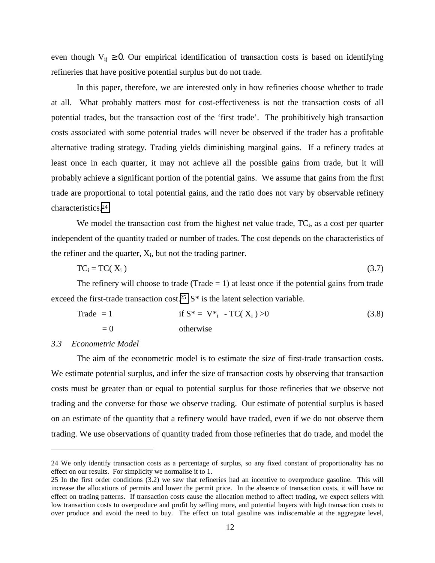even though  $V_{ii} \geq 0$ . Our empirical identification of transaction costs is based on identifying refineries that have positive potential surplus but do not trade.

In this paper, therefore, we are interested only in how refineries choose whether to trade at all. What probably matters most for cost-effectiveness is not the transaction costs of all potential trades, but the transaction cost of the 'first trade'. The prohibitively high transaction costs associated with some potential trades will never be observed if the trader has a profitable alternative trading strategy. Trading yields diminishing marginal gains. If a refinery trades at least once in each quarter, it may not achieve all the possible gains from trade, but it will probably achieve a significant portion of the potential gains. We assume that gains from the first trade are proportional to total potential gains, and the ratio does not vary by observable refinery characteristics.24

We model the transaction cost from the highest net value trade,  $TC_i$ , as a cost per quarter independent of the quantity traded or number of trades. The cost depends on the characteristics of the refiner and the quarter,  $X_i$ , but not the trading partner.

$$
TC_i = TC(X_i) \tag{3.7}
$$

The refinery will choose to trade (Trade  $= 1$ ) at least once if the potential gains from trade exceed the first-trade transaction cost.<sup>25</sup>  $S^*$  is the latent selection variable.

$$
\begin{aligned}\n\text{Trade} &= 1 & \text{if } S^* = V^* \cdot \text{TC}(X_i) > 0 \\
&= 0 & \text{otherwise}\n\end{aligned}\n\tag{3.8}
$$

#### *3.3 Econometric Model*

 $\overline{a}$ 

The aim of the econometric model is to estimate the size of first-trade transaction costs. We estimate potential surplus, and infer the size of transaction costs by observing that transaction costs must be greater than or equal to potential surplus for those refineries that we observe not trading and the converse for those we observe trading. Our estimate of potential surplus is based on an estimate of the quantity that a refinery would have traded, even if we do not observe them trading. We use observations of quantity traded from those refineries that do trade, and model the

<sup>24</sup> We only identify transaction costs as a percentage of surplus, so any fixed constant of proportionality has no effect on our results. For simplicity we normalise it to 1.

<sup>25</sup> In the first order conditions (3.2) we saw that refineries had an incentive to overproduce gasoline. This will increase the allocations of permits and lower the permit price. In the absence of transaction costs, it will have no effect on trading patterns. If transaction costs cause the allocation method to affect trading, we expect sellers with low transaction costs to overproduce and profit by selling more, and potential buyers with high transaction costs to over produce and avoid the need to buy. The effect on total gasoline was indiscernable at the aggregate level,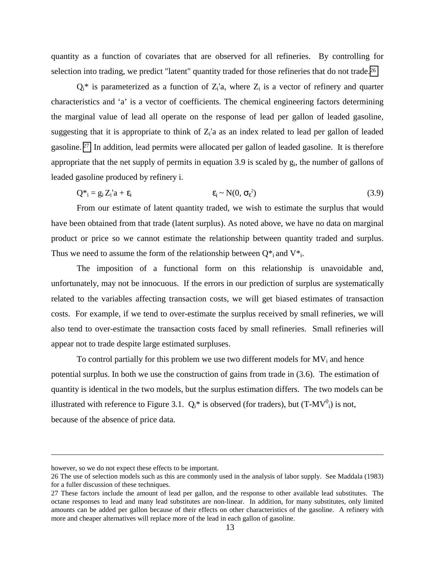quantity as a function of covariates that are observed for all refineries. By controlling for selection into trading, we predict "latent" quantity traded for those refineries that do not trade.<sup>26</sup>

 $Q_i^*$  is parameterized as a function of  $Z_i$ 'a, where  $Z_i$  is a vector of refinery and quarter characteristics and 'a' is a vector of coefficients. The chemical engineering factors determining the marginal value of lead all operate on the response of lead per gallon of leaded gasoline, suggesting that it is appropriate to think of  $Z_i$ 'a as an index related to lead per gallon of leaded gasoline. 27 In addition, lead permits were allocated per gallon of leaded gasoline. It is therefore appropriate that the net supply of permits in equation 3.9 is scaled by  $g_i$ , the number of gallons of leaded gasoline produced by refinery i.

$$
Q^*_{i} = g_i Z_i' a + \varepsilon_i \qquad \qquad \varepsilon_i \sim N(0, \sigma_{\varepsilon}^2) \tag{3.9}
$$

From our estimate of latent quantity traded, we wish to estimate the surplus that would have been obtained from that trade (latent surplus). As noted above, we have no data on marginal product or price so we cannot estimate the relationship between quantity traded and surplus. Thus we need to assume the form of the relationship between  $Q^*$  and  $V^*$ .

The imposition of a functional form on this relationship is unavoidable and, unfortunately, may not be innocuous. If the errors in our prediction of surplus are systematically related to the variables affecting transaction costs, we will get biased estimates of transaction costs. For example, if we tend to over-estimate the surplus received by small refineries, we will also tend to over-estimate the transaction costs faced by small refineries. Small refineries will appear not to trade despite large estimated surpluses.

To control partially for this problem we use two different models for  $MV_i$  and hence potential surplus. In both we use the construction of gains from trade in (3.6). The estimation of quantity is identical in the two models, but the surplus estimation differs. The two models can be illustrated with reference to Figure 3.1.  $Q_i^*$  is observed (for traders), but  $(T-MV^0)$  is not, because of the absence of price data.

<u>.</u>

however, so we do not expect these effects to be important.

<sup>26</sup> The use of selection models such as this are commonly used in the analysis of labor supply. See Maddala (1983) for a fuller discussion of these techniques.

<sup>27</sup> These factors include the amount of lead per gallon, and the response to other available lead substitutes. The octane responses to lead and many lead substitutes are non-linear. In addition, for many substitutes, only limited amounts can be added per gallon because of their effects on other characteristics of the gasoline. A refinery with more and cheaper alternatives will replace more of the lead in each gallon of gasoline.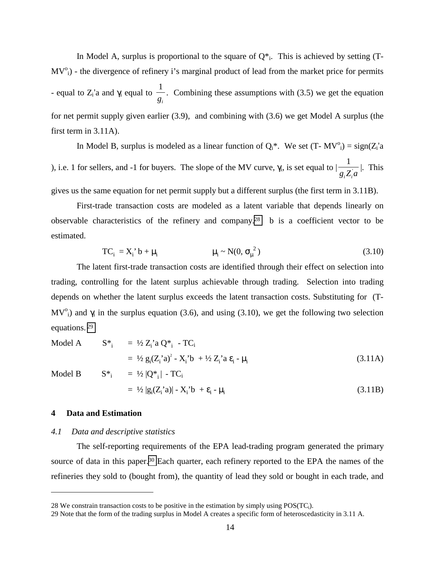In Model A, surplus is proportional to the square of  $Q^*$ . This is achieved by setting (T- $MV<sup>o</sup><sub>i</sub>$ ) - the divergence of refinery i's marginal product of lead from the market price for permits - equal to  $Z_i$ 'a and  $\gamma_i$  equal to 1  $\frac{a}{g_i}$ . Combining these assumptions with (3.5) we get the equation  $g_i$ for net permit supply given earlier (3.9), and combining with (3.6) we get Model A surplus (the first term in 3.11A).

In Model B, surplus is modeled as a linear function of  $Q_i^*$ . We set  $(T - MV^0) = sign(Z_i'a)$ ), i.e. 1 for sellers, and -1 for buyers. The slope of the MV curve,  $\gamma_i$ , is set equal to | 1  $\frac{1}{g_i Z_i}$ . This

gives us the same equation for net permit supply but a different surplus (the first term in 3.11B).

First-trade transaction costs are modeled as a latent variable that depends linearly on observable characteristics of the refinery and company.28 b is a coefficient vector to be estimated.

$$
TC_i = X_i' b + \mu_i \qquad \qquad \mu_i \sim N(0, \sigma_\mu^2) \qquad (3.10)
$$

The latent first-trade transaction costs are identified through their effect on selection into trading, controlling for the latent surplus achievable through trading. Selection into trading depends on whether the latent surplus exceeds the latent transaction costs. Substituting for (T-MV<sup>o</sup><sub>i</sub>) and  $\gamma$ <sub>i</sub> in the surplus equation (3.6), and using (3.10), we get the following two selection equations. 29

Model A 
$$
S^*_{i} = \frac{1}{2} Z_i^* a Q^*_{i} - TC_i
$$
  
=  $\frac{1}{2} g_i (Z_i^* a)^2 - X_i^* b + \frac{1}{2} Z_i^* a \epsilon_i - \mu_i$  (3.11A)

 $\overline{a}$ 

$$
= \frac{1}{2} g_i (Z_i \text{ a})^2 - X_i \text{ b} + \frac{1}{2} Z_i \text{ a } \varepsilon_i - \mu_i
$$
\nModel B

\n
$$
S^*_{i} = \frac{1}{2} |Q^*_{i}| - TC_{i}
$$
\n
$$
= \frac{1}{2} |g_i (Z_i \text{ a})| - X_i \text{ b} + \varepsilon_i - \mu_i
$$
\n(3.11A)

\n
$$
(3.11B)
$$

#### **4 Data and Estimation**

#### *4.1 Data and descriptive statistics*

The self-reporting requirements of the EPA lead-trading program generated the primary source of data in this paper.<sup>30</sup> Each quarter, each refinery reported to the EPA the names of the refineries they sold to (bought from), the quantity of lead they sold or bought in each trade, and

<sup>28</sup> We constrain transaction costs to be positive in the estimation by simply using POS(TCi).

<sup>29</sup> Note that the form of the trading surplus in Model A creates a specific form of heteroscedasticity in 3.11 A.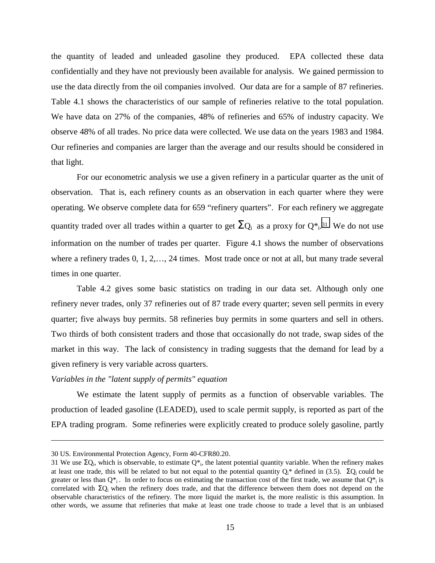the quantity of leaded and unleaded gasoline they produced. EPA collected these data confidentially and they have not previously been available for analysis. We gained permission to use the data directly from the oil companies involved. Our data are for a sample of 87 refineries. Table 4.1 shows the characteristics of our sample of refineries relative to the total population. We have data on 27% of the companies, 48% of refineries and 65% of industry capacity. We observe 48% of all trades. No price data were collected. We use data on the years 1983 and 1984. Our refineries and companies are larger than the average and our results should be considered in that light.

For our econometric analysis we use a given refinery in a particular quarter as the unit of observation. That is, each refinery counts as an observation in each quarter where they were operating. We observe complete data for 659 "refinery quarters". For each refinery we aggregate quantity traded over all trades within a quarter to get  $\Sigma_{Q_i}$  as a proxy for  $Q_{i}^{*}$ .<sup>31</sup> We do not use information on the number of trades per quarter. Figure 4.1 shows the number of observations where a refinery trades 0, 1, 2,…, 24 times. Most trade once or not at all, but many trade several times in one quarter.

Table 4.2 gives some basic statistics on trading in our data set. Although only one refinery never trades, only 37 refineries out of 87 trade every quarter; seven sell permits in every quarter; five always buy permits. 58 refineries buy permits in some quarters and sell in others. Two thirds of both consistent traders and those that occasionally do not trade, swap sides of the market in this way. The lack of consistency in trading suggests that the demand for lead by a given refinery is very variable across quarters.

#### *Variables in the "latent supply of permits" equation*

We estimate the latent supply of permits as a function of observable variables. The production of leaded gasoline (LEADED), used to scale permit supply, is reported as part of the EPA trading program. Some refineries were explicitly created to produce solely gasoline, partly

-

<sup>30</sup> US. Environmental Protection Agency, Form 40-CFR80.20.

<sup>31</sup> We use  $\Sigma$ Q<sub>i</sub>, which is observable, to estimate Q<sup>\*</sup><sub>i</sub>, the latent potential quantity variable. When the refinery makes at least one trade, this will be related to but not equal to the potential quantity  $Q_i^*$  defined in (3.5).  $\Sigma Q_i$  could be greater or less than  $Q^*$ . In order to focus on estimating the transaction cost of the first trade, we assume that  $Q^*$  is correlated with ΣQi when the refinery does trade, and that the difference between them does not depend on the observable characteristics of the refinery. The more liquid the market is, the more realistic is this assumption. In other words, we assume that refineries that make at least one trade choose to trade a level that is an unbiased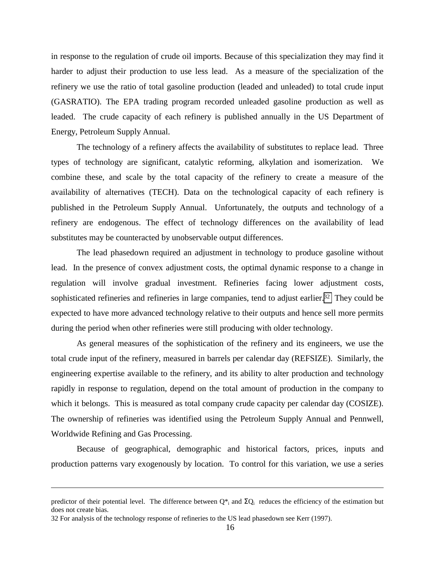in response to the regulation of crude oil imports. Because of this specialization they may find it harder to adjust their production to use less lead. As a measure of the specialization of the refinery we use the ratio of total gasoline production (leaded and unleaded) to total crude input (GASRATIO). The EPA trading program recorded unleaded gasoline production as well as leaded. The crude capacity of each refinery is published annually in the US Department of Energy, Petroleum Supply Annual.

The technology of a refinery affects the availability of substitutes to replace lead. Three types of technology are significant, catalytic reforming, alkylation and isomerization. We combine these, and scale by the total capacity of the refinery to create a measure of the availability of alternatives (TECH). Data on the technological capacity of each refinery is published in the Petroleum Supply Annual. Unfortunately, the outputs and technology of a refinery are endogenous. The effect of technology differences on the availability of lead substitutes may be counteracted by unobservable output differences.

The lead phasedown required an adjustment in technology to produce gasoline without lead. In the presence of convex adjustment costs, the optimal dynamic response to a change in regulation will involve gradual investment. Refineries facing lower adjustment costs, sophisticated refineries and refineries in large companies, tend to adjust earlier.<sup>32</sup> They could be expected to have more advanced technology relative to their outputs and hence sell more permits during the period when other refineries were still producing with older technology.

As general measures of the sophistication of the refinery and its engineers, we use the total crude input of the refinery, measured in barrels per calendar day (REFSIZE). Similarly, the engineering expertise available to the refinery, and its ability to alter production and technology rapidly in response to regulation, depend on the total amount of production in the company to which it belongs. This is measured as total company crude capacity per calendar day (COSIZE). The ownership of refineries was identified using the Petroleum Supply Annual and Pennwell, Worldwide Refining and Gas Processing.

Because of geographical, demographic and historical factors, prices, inputs and production patterns vary exogenously by location. To control for this variation, we use a series

<u>.</u>

predictor of their potential level. The difference between  $Q^*$  and  $\Sigma Q$  reduces the efficiency of the estimation but does not create bias.

<sup>32</sup> For analysis of the technology response of refineries to the US lead phasedown see Kerr (1997).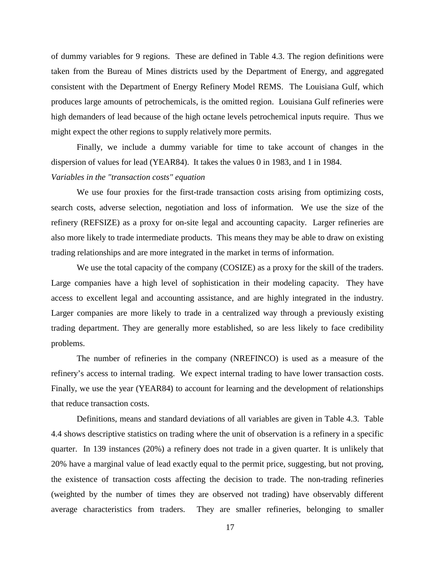of dummy variables for 9 regions. These are defined in Table 4.3. The region definitions were taken from the Bureau of Mines districts used by the Department of Energy, and aggregated consistent with the Department of Energy Refinery Model REMS. The Louisiana Gulf, which produces large amounts of petrochemicals, is the omitted region. Louisiana Gulf refineries were high demanders of lead because of the high octane levels petrochemical inputs require. Thus we might expect the other regions to supply relatively more permits.

Finally, we include a dummy variable for time to take account of changes in the dispersion of values for lead (YEAR84). It takes the values 0 in 1983, and 1 in 1984.

#### *Variables in the "transaction costs" equation*

We use four proxies for the first-trade transaction costs arising from optimizing costs, search costs, adverse selection, negotiation and loss of information. We use the size of the refinery (REFSIZE) as a proxy for on-site legal and accounting capacity. Larger refineries are also more likely to trade intermediate products. This means they may be able to draw on existing trading relationships and are more integrated in the market in terms of information.

We use the total capacity of the company (COSIZE) as a proxy for the skill of the traders. Large companies have a high level of sophistication in their modeling capacity. They have access to excellent legal and accounting assistance, and are highly integrated in the industry. Larger companies are more likely to trade in a centralized way through a previously existing trading department. They are generally more established, so are less likely to face credibility problems.

The number of refineries in the company (NREFINCO) is used as a measure of the refinery's access to internal trading. We expect internal trading to have lower transaction costs. Finally, we use the year (YEAR84) to account for learning and the development of relationships that reduce transaction costs.

Definitions, means and standard deviations of all variables are given in Table 4.3. Table 4.4 shows descriptive statistics on trading where the unit of observation is a refinery in a specific quarter. In 139 instances (20%) a refinery does not trade in a given quarter. It is unlikely that 20% have a marginal value of lead exactly equal to the permit price, suggesting, but not proving, the existence of transaction costs affecting the decision to trade. The non-trading refineries (weighted by the number of times they are observed not trading) have observably different average characteristics from traders. They are smaller refineries, belonging to smaller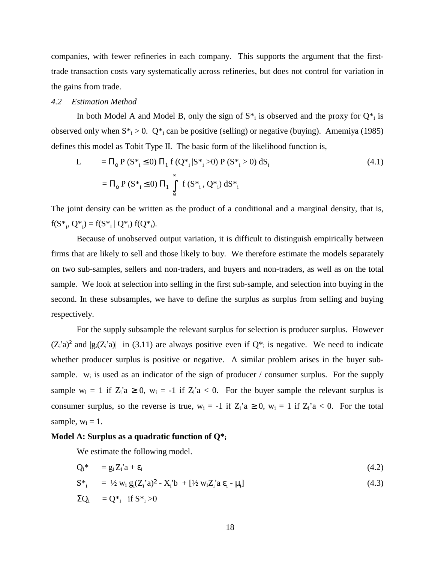companies, with fewer refineries in each company. This supports the argument that the firsttrade transaction costs vary systematically across refineries, but does not control for variation in the gains from trade.

#### *4.2 Estimation Method*

In both Model A and Model B, only the sign of  $S^*$  is observed and the proxy for  $Q^*$  is observed only when  $S^*$  > 0.  $Q^*$  can be positive (selling) or negative (buying). Amemiya (1985) defines this model as Tobit Type II. The basic form of the likelihood function is,

$$
L = \Pi_0 P (S^*_{i} \le 0) \Pi_1 f (Q^*_{i} | S^*_{i} > 0) P (S^*_{i} > 0) dS_i
$$
  
=  $\Pi_0 P (S^*_{i} \le 0) \Pi_1 \int_0^{\infty} f (S^*_{i}, Q^*) dS^*_{i}$  (4.1)

The joint density can be written as the product of a conditional and a marginal density, that is,  $f(S^*_{i}, Q^*_{i}) = f(S^*_{i} | Q^*_{i}) f(Q^*_{i}).$ 

Because of unobserved output variation, it is difficult to distinguish empirically between firms that are likely to sell and those likely to buy. We therefore estimate the models separately on two sub-samples, sellers and non-traders, and buyers and non-traders, as well as on the total sample. We look at selection into selling in the first sub-sample, and selection into buying in the second. In these subsamples, we have to define the surplus as surplus from selling and buying respectively.

For the supply subsample the relevant surplus for selection is producer surplus. However  $(Z_i^i a)^2$  and  $|g_i(Z_i^i a)|$  in (3.11) are always positive even if  $Q_{i}$  is negative. We need to indicate whether producer surplus is positive or negative. A similar problem arises in the buyer subsample.  $w_i$  is used as an indicator of the sign of producer / consumer surplus. For the supply sample  $w_i = 1$  if  $Z_i$ 'a  $\ge 0$ ,  $w_i = -1$  if  $Z_i$ 'a  $\lt 0$ . For the buyer sample the relevant surplus is consumer surplus, so the reverse is true,  $w_i = -1$  if  $Z_i$ 'a  $\ge 0$ ,  $w_i = 1$  if  $Z_i$ 'a  $\lt 0$ . For the total sample,  $w_i = 1$ .

#### **Model A: Surplus as a quadratic function of Q\*i**

We estimate the following model.

$$
Q_i^* = g_i Z_i' a + \varepsilon_i \tag{4.2}
$$

$$
S^*_{i} = \frac{1}{2} w_i g_i (Z_i^{\prime} a)^2 - X_i^{\prime} b + [\frac{1}{2} w_i Z_i^{\prime} a \epsilon_i - \mu_i]
$$
 (4.3)

$$
\Sigma Q_i = Q^*_{i} \text{ if } S^*_{i} > 0
$$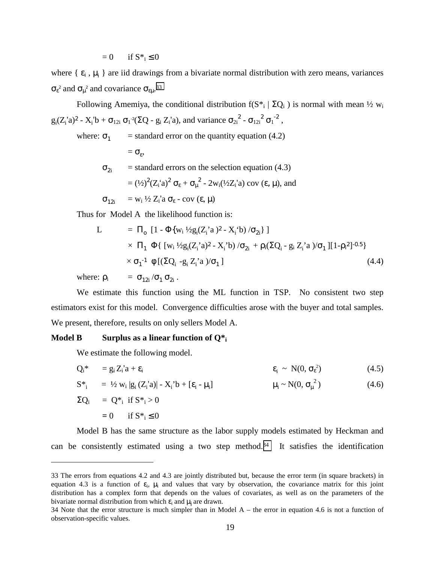$= 0$  if  $S^*$ ;  $\leq 0$ 

where  $\{ \varepsilon_i, \mu_i \}$  are iid drawings from a bivariate normal distribution with zero means, variances  $\sigma_{\epsilon}^2$  and  $\sigma_{\mu}^2$  and covariance  $\sigma_{\epsilon\mu}^2$ .<sup>33</sup>

Following Amemiya, the conditional distribution f( $S^*$ ;  $\sum Q_i$ ) is normal with mean  $\frac{1}{2} w_i$  $g_i(Z_i'a)^2 - X_i'b + \sigma_{12i} \sigma_1^2(\Sigma Q - g_i Z_i'a)$ , and variance  $\sigma_{2i}^2 - \sigma_{12i}^2 \sigma_1^2$ ,

where:  $\sigma_1$  = standard error on the quantity equation (4.2)

 $=\sigma_{\rm s}$ ,  $\sigma_{2i}$  = standard errors on the selection equation (4.3) =  $(\frac{1}{2})^2 (Z_i^{\dagger} a)^2 \sigma_{\epsilon} + \sigma_{\mu}^2 - 2 w_i (\frac{1}{2} Z_i^{\dagger} a) \text{ cov} (\epsilon, \mu)$ , and  $\sigma_{12i}$  = w<sub>i</sub> ½ Z<sub>i</sub>'a  $\sigma_{\varepsilon}$  - cov ( $\varepsilon$ ,  $\mu$ )

Thus for Model A the likelihood function is:

L = Πo [1 - Φ{wi ½gi (Zi 'a )<sup>2</sup>- Xi 'b) /σ<sup>2</sup><sup>i</sup> } ] × Π<sup>1</sup> Φ{ [wi ½gi (Zi 'a)<sup>2</sup>- Xi 'b) /σ<sup>2</sup><sup>i</sup> + ρi(ΣQi - gi Zi 'a )/σ1 ][1-ρ<sup>i</sup> <sup>2</sup>]-0.5} × σ<sup>1</sup> -1 φ [(ΣQi -gi Zi 'a )/σ1 ] (4.4)

where:  $\rho_i = \sigma_{12i} / \sigma_1 \sigma_{2i}$ .

We estimate this function using the ML function in TSP. No consistent two step estimators exist for this model. Convergence difficulties arose with the buyer and total samples. We present, therefore, results on only sellers Model A.

#### **Model B Surplus as a linear function of Q\*i**

We estimate the following model.

<u>.</u>

$$
Q_i^* = g_i Z_i^{\prime} a + \varepsilon_i \qquad \qquad \varepsilon_i \sim N(0, \sigma_{\varepsilon}^2) \qquad (4.5)
$$

 $S^*$ <sub>i</sub> = ½ w<sub>i</sub> |g<sub>i</sub> (Z<sub>i</sub>'a)| - X<sub>i</sub>'b + [ $\varepsilon$ <sub>i</sub> -  $\mu$ <sub>i</sub>  $\mu_i \sim N(0, \sigma_\mu)$  $(4.6)$ 

$$
\Sigma Q_i = Q^* i \text{ if } S^* i > 0
$$
  
= 0 if  $S^* i \leq 0$ 

Model B has the same structure as the labor supply models estimated by Heckman and can be consistently estimated using a two step method.<sup>34</sup> It satisfies the identification

<sup>33</sup> The errors from equations 4.2 and 4.3 are jointly distributed but, because the error term (in square brackets) in equation 4.3 is a function of  $\varepsilon_i$ ,  $\mu_i$  and values that vary by observation, the covariance matrix for this joint distribution has a complex form that depends on the values of covariates, as well as on the parameters of the bivariate normal distribution from which  $\varepsilon_i$  and  $\mu_i$  are drawn.

<sup>34</sup> Note that the error structure is much simpler than in Model A – the error in equation 4.6 is not a function of observation-specific values.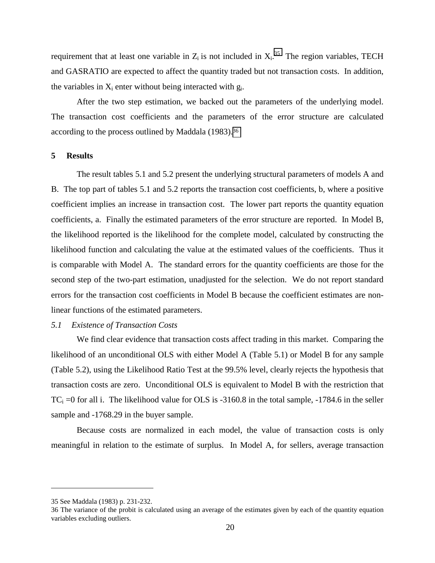requirement that at least one variable in  $Z_i$  is not included in  $X_i$ .<sup>35</sup> The region variables, TECH and GASRATIO are expected to affect the quantity traded but not transaction costs. In addition, the variables in  $X_i$  enter without being interacted with  $g_i$ .

After the two step estimation, we backed out the parameters of the underlying model. The transaction cost coefficients and the parameters of the error structure are calculated according to the process outlined by Maddala (1983).36

#### **5 Results**

The result tables 5.1 and 5.2 present the underlying structural parameters of models A and B. The top part of tables 5.1 and 5.2 reports the transaction cost coefficients, b, where a positive coefficient implies an increase in transaction cost. The lower part reports the quantity equation coefficients, a. Finally the estimated parameters of the error structure are reported. In Model B, the likelihood reported is the likelihood for the complete model, calculated by constructing the likelihood function and calculating the value at the estimated values of the coefficients. Thus it is comparable with Model A. The standard errors for the quantity coefficients are those for the second step of the two-part estimation, unadjusted for the selection. We do not report standard errors for the transaction cost coefficients in Model B because the coefficient estimates are nonlinear functions of the estimated parameters.

#### *5.1 Existence of Transaction Costs*

We find clear evidence that transaction costs affect trading in this market. Comparing the likelihood of an unconditional OLS with either Model A (Table 5.1) or Model B for any sample (Table 5.2), using the Likelihood Ratio Test at the 99.5% level, clearly rejects the hypothesis that transaction costs are zero. Unconditional OLS is equivalent to Model B with the restriction that  $TC_i =0$  for all i. The likelihood value for OLS is -3160.8 in the total sample, -1784.6 in the seller sample and  $-1768.29$  in the buyer sample.

Because costs are normalized in each model, the value of transaction costs is only meaningful in relation to the estimate of surplus. In Model A, for sellers, average transaction

<sup>35</sup> See Maddala (1983) p. 231-232.

<sup>36</sup> The variance of the probit is calculated using an average of the estimates given by each of the quantity equation variables excluding outliers.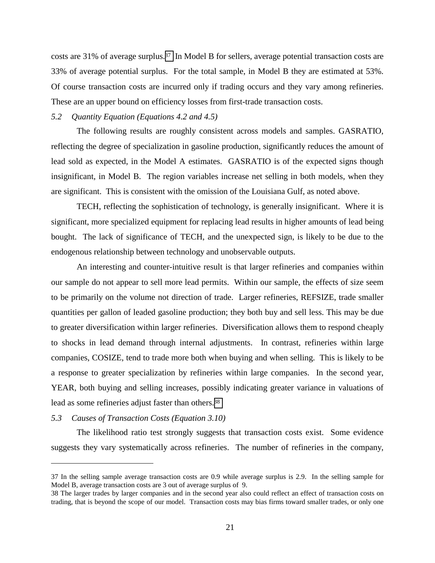costs are 31% of average surplus.37 In Model B for sellers, average potential transaction costs are 33% of average potential surplus. For the total sample, in Model B they are estimated at 53%. Of course transaction costs are incurred only if trading occurs and they vary among refineries. These are an upper bound on efficiency losses from first-trade transaction costs.

#### *5.2 Quantity Equation (Equations 4.2 and 4.5)*

The following results are roughly consistent across models and samples. GASRATIO, reflecting the degree of specialization in gasoline production, significantly reduces the amount of lead sold as expected, in the Model A estimates. GASRATIO is of the expected signs though insignificant, in Model B. The region variables increase net selling in both models, when they are significant. This is consistent with the omission of the Louisiana Gulf, as noted above.

TECH, reflecting the sophistication of technology, is generally insignificant. Where it is significant, more specialized equipment for replacing lead results in higher amounts of lead being bought. The lack of significance of TECH, and the unexpected sign, is likely to be due to the endogenous relationship between technology and unobservable outputs.

An interesting and counter-intuitive result is that larger refineries and companies within our sample do not appear to sell more lead permits. Within our sample, the effects of size seem to be primarily on the volume not direction of trade. Larger refineries, REFSIZE, trade smaller quantities per gallon of leaded gasoline production; they both buy and sell less. This may be due to greater diversification within larger refineries. Diversification allows them to respond cheaply to shocks in lead demand through internal adjustments. In contrast, refineries within large companies, COSIZE, tend to trade more both when buying and when selling. This is likely to be a response to greater specialization by refineries within large companies. In the second year, YEAR, both buying and selling increases, possibly indicating greater variance in valuations of lead as some refineries adjust faster than others.38

#### *5.3 Causes of Transaction Costs (Equation 3.10)*

 $\overline{a}$ 

The likelihood ratio test strongly suggests that transaction costs exist. Some evidence suggests they vary systematically across refineries. The number of refineries in the company,

<sup>37</sup> In the selling sample average transaction costs are 0.9 while average surplus is 2.9. In the selling sample for Model B, average transaction costs are 3 out of average surplus of 9.

<sup>38</sup> The larger trades by larger companies and in the second year also could reflect an effect of transaction costs on trading, that is beyond the scope of our model. Transaction costs may bias firms toward smaller trades, or only one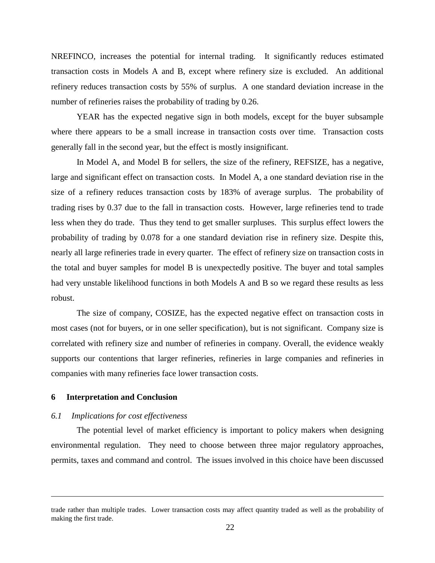NREFINCO, increases the potential for internal trading. It significantly reduces estimated transaction costs in Models A and B, except where refinery size is excluded. An additional refinery reduces transaction costs by 55% of surplus. A one standard deviation increase in the number of refineries raises the probability of trading by 0.26.

YEAR has the expected negative sign in both models, except for the buyer subsample where there appears to be a small increase in transaction costs over time. Transaction costs generally fall in the second year, but the effect is mostly insignificant.

In Model A, and Model B for sellers, the size of the refinery, REFSIZE, has a negative, large and significant effect on transaction costs. In Model A, a one standard deviation rise in the size of a refinery reduces transaction costs by 183% of average surplus. The probability of trading rises by 0.37 due to the fall in transaction costs. However, large refineries tend to trade less when they do trade. Thus they tend to get smaller surpluses. This surplus effect lowers the probability of trading by 0.078 for a one standard deviation rise in refinery size. Despite this, nearly all large refineries trade in every quarter. The effect of refinery size on transaction costs in the total and buyer samples for model B is unexpectedly positive. The buyer and total samples had very unstable likelihood functions in both Models A and B so we regard these results as less robust.

The size of company, COSIZE, has the expected negative effect on transaction costs in most cases (not for buyers, or in one seller specification), but is not significant. Company size is correlated with refinery size and number of refineries in company. Overall, the evidence weakly supports our contentions that larger refineries, refineries in large companies and refineries in companies with many refineries face lower transaction costs.

#### **6 Interpretation and Conclusion**

 $\overline{a}$ 

#### *6.1 Implications for cost effectiveness*

The potential level of market efficiency is important to policy makers when designing environmental regulation. They need to choose between three major regulatory approaches, permits, taxes and command and control. The issues involved in this choice have been discussed

trade rather than multiple trades. Lower transaction costs may affect quantity traded as well as the probability of making the first trade.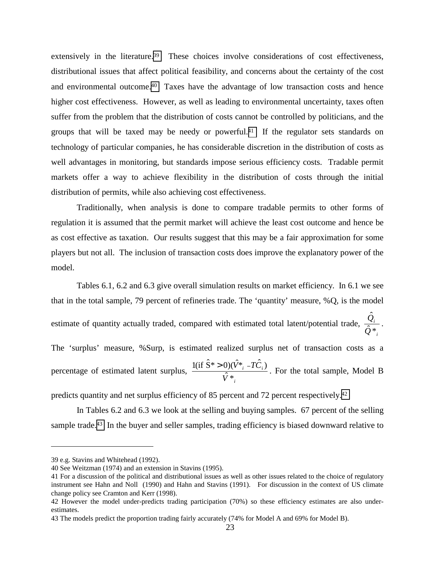extensively in the literature.<sup>39</sup> These choices involve considerations of cost effectiveness, distributional issues that affect political feasibility, and concerns about the certainty of the cost and environmental outcome.40 Taxes have the advantage of low transaction costs and hence higher cost effectiveness. However, as well as leading to environmental uncertainty, taxes often suffer from the problem that the distribution of costs cannot be controlled by politicians, and the groups that will be taxed may be needy or powerful.<sup>41</sup> If the regulator sets standards on technology of particular companies, he has considerable discretion in the distribution of costs as well advantages in monitoring, but standards impose serious efficiency costs. Tradable permit markets offer a way to achieve flexibility in the distribution of costs through the initial distribution of permits, while also achieving cost effectiveness.

Traditionally, when analysis is done to compare tradable permits to other forms of regulation it is assumed that the permit market will achieve the least cost outcome and hence be as cost effective as taxation. Our results suggest that this may be a fair approximation for some players but not all. The inclusion of transaction costs does improve the explanatory power of the model.

Tables 6.1, 6.2 and 6.3 give overall simulation results on market efficiency. In 6.1 we see that in the total sample, 79 percent of refineries trade. The 'quantity' measure, %Q, is the model estimate of quantity actually traded, compared with estimated total latent/potential trade,  $\frac{Q_i}{Q_i}$ *i Q Q*  $\hat{2}^*$  $\frac{\hat{Q}_i}{\cdot}$  . The 'surplus' measure, %Surp, is estimated realized surplus net of transaction costs as a percentage of estimated latent surplus, *i i V*  $\hat{V}^*$  -  $\hat{TC}$ \*ˆ  $\frac{1 (if \hat{S}^* > 0)(\hat{V}^* - T\hat{C}_i)}{2}$ . For the total sample, Model B

predicts quantity and net surplus efficiency of 85 percent and 72 percent respectively.42

In Tables 6.2 and 6.3 we look at the selling and buying samples. 67 percent of the selling sample trade.<sup>43</sup> In the buyer and seller samples, trading efficiency is biased downward relative to

-

<sup>39</sup> e.g. Stavins and Whitehead (1992).

<sup>40</sup> See Weitzman (1974) and an extension in Stavins (1995).

<sup>41</sup> For a discussion of the political and distributional issues as well as other issues related to the choice of regulatory instrument see Hahn and Noll (1990) and Hahn and Stavins (1991). For discussion in the context of US climate change policy see Cramton and Kerr (1998).

<sup>42</sup> However the model under-predicts trading participation (70%) so these efficiency estimates are also underestimates.

<sup>43</sup> The models predict the proportion trading fairly accurately (74% for Model A and 69% for Model B).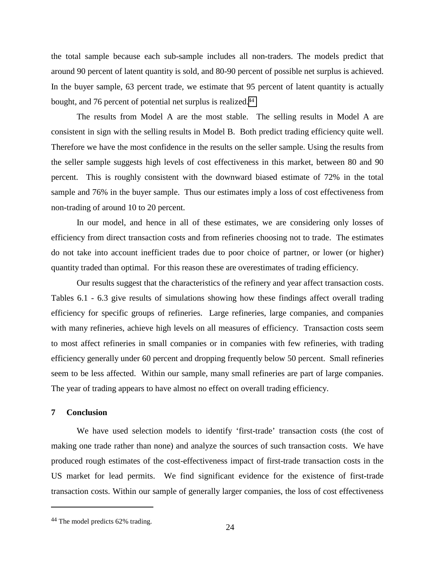the total sample because each sub-sample includes all non-traders. The models predict that around 90 percent of latent quantity is sold, and 80-90 percent of possible net surplus is achieved. In the buyer sample, 63 percent trade, we estimate that 95 percent of latent quantity is actually bought, and 76 percent of potential net surplus is realized.44

The results from Model A are the most stable. The selling results in Model A are consistent in sign with the selling results in Model B. Both predict trading efficiency quite well. Therefore we have the most confidence in the results on the seller sample. Using the results from the seller sample suggests high levels of cost effectiveness in this market, between 80 and 90 percent. This is roughly consistent with the downward biased estimate of 72% in the total sample and 76% in the buyer sample. Thus our estimates imply a loss of cost effectiveness from non-trading of around 10 to 20 percent.

In our model, and hence in all of these estimates, we are considering only losses of efficiency from direct transaction costs and from refineries choosing not to trade. The estimates do not take into account inefficient trades due to poor choice of partner, or lower (or higher) quantity traded than optimal. For this reason these are overestimates of trading efficiency.

Our results suggest that the characteristics of the refinery and year affect transaction costs. Tables 6.1 - 6.3 give results of simulations showing how these findings affect overall trading efficiency for specific groups of refineries. Large refineries, large companies, and companies with many refineries, achieve high levels on all measures of efficiency. Transaction costs seem to most affect refineries in small companies or in companies with few refineries, with trading efficiency generally under 60 percent and dropping frequently below 50 percent. Small refineries seem to be less affected. Within our sample, many small refineries are part of large companies. The year of trading appears to have almost no effect on overall trading efficiency.

#### **7 Conclusion**

-

We have used selection models to identify 'first-trade' transaction costs (the cost of making one trade rather than none) and analyze the sources of such transaction costs. We have produced rough estimates of the cost-effectiveness impact of first-trade transaction costs in the US market for lead permits. We find significant evidence for the existence of first-trade transaction costs. Within our sample of generally larger companies, the loss of cost effectiveness

<sup>24</sup> 44 The model predicts 62% trading.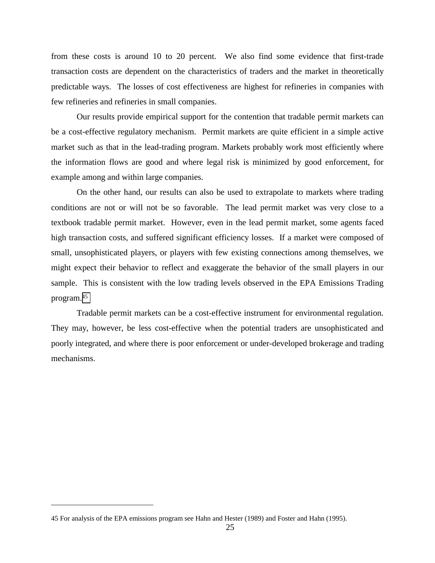from these costs is around 10 to 20 percent. We also find some evidence that first-trade transaction costs are dependent on the characteristics of traders and the market in theoretically predictable ways. The losses of cost effectiveness are highest for refineries in companies with few refineries and refineries in small companies.

Our results provide empirical support for the contention that tradable permit markets can be a cost-effective regulatory mechanism. Permit markets are quite efficient in a simple active market such as that in the lead-trading program. Markets probably work most efficiently where the information flows are good and where legal risk is minimized by good enforcement, for example among and within large companies.

On the other hand, our results can also be used to extrapolate to markets where trading conditions are not or will not be so favorable. The lead permit market was very close to a textbook tradable permit market. However, even in the lead permit market, some agents faced high transaction costs, and suffered significant efficiency losses. If a market were composed of small, unsophisticated players, or players with few existing connections among themselves, we might expect their behavior to reflect and exaggerate the behavior of the small players in our sample. This is consistent with the low trading levels observed in the EPA Emissions Trading program.45

Tradable permit markets can be a cost-effective instrument for environmental regulation. They may, however, be less cost-effective when the potential traders are unsophisticated and poorly integrated, and where there is poor enforcement or under-developed brokerage and trading mechanisms.

<sup>45</sup> For analysis of the EPA emissions program see Hahn and Hester (1989) and Foster and Hahn (1995).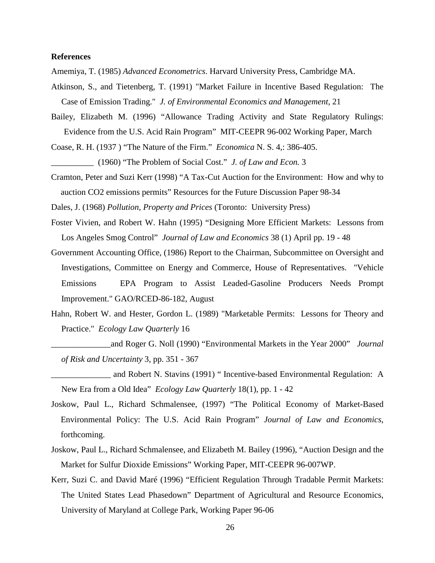#### **References**

- Amemiya, T. (1985) *Advanced Econometrics*. Harvard University Press, Cambridge MA.
- Atkinson, S., and Tietenberg, T. (1991) "Market Failure in Incentive Based Regulation: The Case of Emission Trading." *J. of Environmental Economics and Management*, 21
- Bailey, Elizabeth M. (1996) "Allowance Trading Activity and State Regulatory Rulings: Evidence from the U.S. Acid Rain Program" MIT-CEEPR 96-002 Working Paper, March
- Coase, R. H. (1937 ) "The Nature of the Firm." *Economica* N. S. 4,: 386-405.
- \_\_\_\_\_\_\_\_\_\_ (1960) "The Problem of Social Cost." *J. of Law and Econ.* 3
- Cramton, Peter and Suzi Kerr (1998) "A Tax-Cut Auction for the Environment: How and why to auction CO2 emissions permits" Resources for the Future Discussion Paper 98-34

Dales, J. (1968) *Pollution, Property and Prices* (Toronto: University Press)

- Foster Vivien, and Robert W. Hahn (1995) "Designing More Efficient Markets: Lessons from Los Angeles Smog Control" *Journal of Law and Economics* 38 (1) April pp. 19 - 48
- Government Accounting Office, (1986) Report to the Chairman, Subcommittee on Oversight and Investigations, Committee on Energy and Commerce, House of Representatives. "Vehicle Emissions EPA Program to Assist Leaded-Gasoline Producers Needs Prompt Improvement." GAO/RCED-86-182, August
- Hahn, Robert W. and Hester, Gordon L. (1989) "Marketable Permits: Lessons for Theory and Practice." *Ecology Law Quarterly* 16
- \_\_\_\_\_\_\_\_\_\_\_\_\_\_and Roger G. Noll (1990) "Environmental Markets in the Year 2000" *Journal of Risk and Uncertainty* 3, pp. 351 - 367
- \_\_\_\_\_\_\_\_\_\_\_\_\_\_ and Robert N. Stavins (1991) " Incentive-based Environmental Regulation: A New Era from a Old Idea" *Ecology Law Quarterly* 18(1), pp. 1 - 42
- Joskow, Paul L., Richard Schmalensee, (1997) "The Political Economy of Market-Based Environmental Policy: The U.S. Acid Rain Program" *Journal of Law and Economics*, forthcoming.
- Joskow, Paul L., Richard Schmalensee, and Elizabeth M. Bailey (1996), "Auction Design and the Market for Sulfur Dioxide Emissions" Working Paper, MIT-CEEPR 96-007WP.
- Kerr, Suzi C. and David Maré (1996) "Efficient Regulation Through Tradable Permit Markets: The United States Lead Phasedown" Department of Agricultural and Resource Economics, University of Maryland at College Park, Working Paper 96-06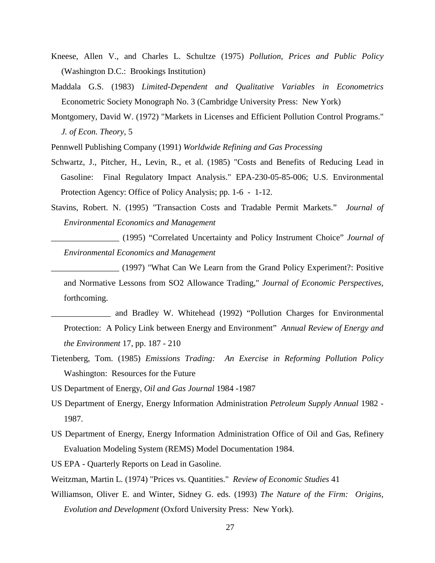- Kneese, Allen V., and Charles L. Schultze (1975) *Pollution, Prices and Public Policy* (Washington D.C.: Brookings Institution)
- Maddala G.S. (1983) *Limited-Dependent and Qualitative Variables in Econometrics* Econometric Society Monograph No. 3 (Cambridge University Press: New York)
- Montgomery, David W. (1972) "Markets in Licenses and Efficient Pollution Control Programs." *J. of Econ. Theory*, 5
- Pennwell Publishing Company (1991) *Worldwide Refining and Gas Processing*
- Schwartz, J., Pitcher, H., Levin, R., et al. (1985) "Costs and Benefits of Reducing Lead in Gasoline: Final Regulatory Impact Analysis." EPA-230-05-85-006; U.S. Environmental Protection Agency: Office of Policy Analysis; pp. 1-6 - 1-12.
- Stavins, Robert. N. (1995) "Transaction Costs and Tradable Permit Markets." *Journal of Environmental Economics and Management*
	- \_\_\_\_\_\_\_\_\_\_\_\_\_\_\_\_ (1995) "Correlated Uncertainty and Policy Instrument Choice" *Journal of Environmental Economics and Management*
	- \_\_\_\_\_\_\_\_\_\_\_\_\_\_\_\_ (1997) "What Can We Learn from the Grand Policy Experiment?: Positive and Normative Lessons from SO2 Allowance Trading," *Journal of Economic Perspectives*, forthcoming.
	- \_\_\_\_\_\_\_\_\_\_\_\_\_\_ and Bradley W. Whitehead (1992) "Pollution Charges for Environmental Protection: A Policy Link between Energy and Environment" *Annual Review of Energy and the Environment* 17, pp. 187 - 210
- Tietenberg, Tom. (1985) *Emissions Trading: An Exercise in Reforming Pollution Policy*  Washington: Resources for the Future
- US Department of Energy, *Oil and Gas Journal* 1984 -1987
- US Department of Energy, Energy Information Administration *Petroleum Supply Annual* 1982 1987.
- US Department of Energy, Energy Information Administration Office of Oil and Gas, Refinery Evaluation Modeling System (REMS) Model Documentation 1984.
- US EPA Quarterly Reports on Lead in Gasoline.
- Weitzman, Martin L. (1974) "Prices vs. Quantities." *Review of Economic Studies* 41
- Williamson, Oliver E. and Winter, Sidney G. eds. (1993) *The Nature of the Firm: Origins, Evolution and Development* (Oxford University Press: New York).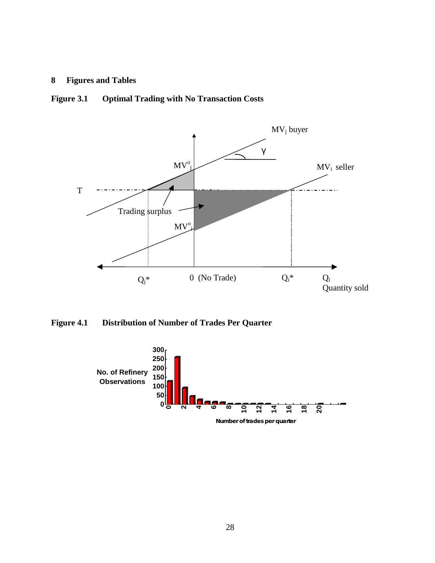## **8 Figures and Tables**

## **Figure 3.1 Optimal Trading with No Transaction Costs**



**Figure 4.1 Distribution of Number of Trades Per Quarter** 

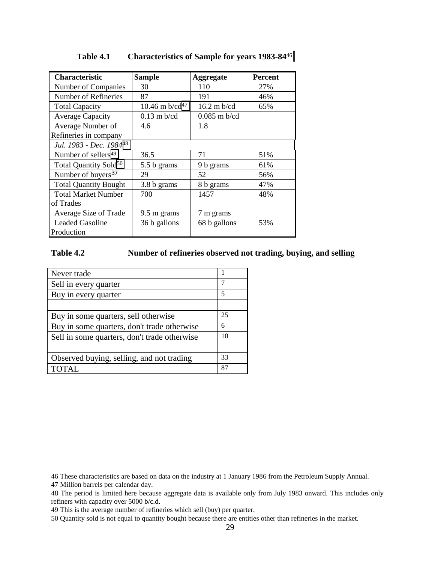| Characteristic                         | <b>Sample</b>                 | <b>Aggregate</b>      | <b>Percent</b> |
|----------------------------------------|-------------------------------|-----------------------|----------------|
| Number of Companies                    | 30                            | 110                   | 27%            |
| Number of Refineries                   | 87                            | 191                   | 46%            |
| <b>Total Capacity</b>                  | 10.46 m $b$ /cd <sup>47</sup> | $16.2 \text{ m}$ b/cd | 65%            |
| <b>Average Capacity</b>                | $0.13$ m b/cd                 | $0.085$ m b/cd        |                |
| Average Number of                      | 4.6                           | 1.8                   |                |
| Refineries in company                  |                               |                       |                |
| Jul. 1983 - Dec. 198448                |                               |                       |                |
| Number of sellers <sup>49</sup>        | 36.5                          | 71                    | 51%            |
| Total Quantity Sold <sup>50</sup>      | 5.5 b grams                   | 9 b grams             | 61%            |
| Number of buyers <sup>37</sup>         | 29                            | 52                    | 56%            |
| <b>Total Quantity Bought</b>           | 3.8 b grams                   | 8 b grams             | 47%            |
| <b>Total Market Number</b>             | 700                           | 1457                  | 48%            |
| of Trades                              |                               |                       |                |
| Average Size of Trade                  | 9.5 m grams                   | 7 m grams             |                |
| <b>Leaded Gasoline</b><br>36 b gallons |                               | 68 b gallons          | 53%            |
| Production                             |                               |                       |                |

### **Table 4.1 Characteristics of Sample for years 1983-84**<sup>46</sup>

## **Table 4.2 Number of refineries observed not trading, buying, and selling**

| 7  |
|----|
| 5  |
|    |
| 25 |
| 6  |
| 10 |
|    |
| 33 |
| 87 |
|    |

<sup>46</sup> These characteristics are based on data on the industry at 1 January 1986 from the Petroleum Supply Annual.

<sup>47</sup> Million barrels per calendar day.

<sup>48</sup> The period is limited here because aggregate data is available only from July 1983 onward. This includes only refiners with capacity over 5000 b/c.d.

<sup>49</sup> This is the average number of refineries which sell (buy) per quarter.

<sup>50</sup> Quantity sold is not equal to quantity bought because there are entities other than refineries in the market.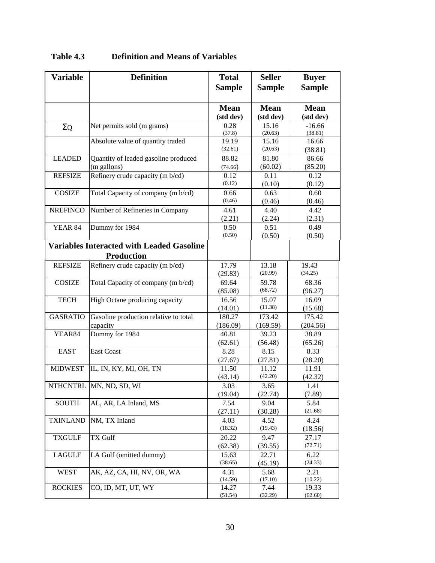| <b>Variable</b> | <b>Definition</b>                                | <b>Total</b>    | <b>Seller</b>   | <b>Buyer</b>    |
|-----------------|--------------------------------------------------|-----------------|-----------------|-----------------|
|                 |                                                  | <b>Sample</b>   | <b>Sample</b>   | <b>Sample</b>   |
|                 |                                                  |                 |                 |                 |
|                 |                                                  | <b>Mean</b>     | <b>Mean</b>     | <b>Mean</b>     |
|                 |                                                  | (std dev)       | (std dev)       | (std dev)       |
| $\Sigma$ Q      | Net permits sold (m grams)                       | 0.28            | 15.16           | $-16.66$        |
|                 |                                                  | (37.8)          | (20.63)         | (38.81)         |
|                 | Absolute value of quantity traded                | 19.19           | 15.16           | 16.66           |
|                 |                                                  | (32.61)         | (20.63)         | (38.81)         |
| <b>LEADED</b>   | Quantity of leaded gasoline produced             | 88.82           | 81.80           | 86.66           |
|                 | (m gallons)                                      | (74.66)         | (60.02)         | (85.20)         |
| <b>REFSIZE</b>  | Refinery crude capacity (m b/cd)                 | 0.12            | 0.11            | 0.12            |
|                 |                                                  | (0.12)          | (0.10)          | (0.12)          |
| <b>COSIZE</b>   | Total Capacity of company (m b/cd)               | 0.66            | 0.63            | 0.60            |
|                 |                                                  | (0.46)          | (0.46)          | (0.46)          |
| <b>NREFINCO</b> | Number of Refineries in Company                  | 4.61            | 4.40            | 4.42            |
|                 |                                                  | (2.21)          | (2.24)          | (2.31)          |
| <b>YEAR 84</b>  | Dummy for 1984                                   | 0.50            | 0.51            | 0.49            |
|                 |                                                  | (0.50)          | (0.50)          | (0.50)          |
|                 | <b>Variables Interacted with Leaded Gasoline</b> |                 |                 |                 |
|                 | <b>Production</b>                                |                 |                 |                 |
| <b>REFSIZE</b>  | Refinery crude capacity (m b/cd)                 | 17.79           | 13.18           | 19.43           |
|                 |                                                  | (29.83)         | (20.99)         | (34.25)         |
| <b>COSIZE</b>   | Total Capacity of company (m b/cd)               | 69.64           | 59.78           | 68.36           |
|                 |                                                  | (85.08)         | (68.72)         | (96.27)         |
| <b>TECH</b>     | High Octane producing capacity                   | 16.56           | 15.07           | 16.09           |
|                 |                                                  | (14.01)         | (11.38)         | (15.68)         |
| <b>GASRATIO</b> | Gasoline production relative to total            | 180.27          | 173.42          | 175.42          |
|                 | capacity                                         | (186.09)        | (169.59)        | (204.56)        |
| YEAR84          | Dummy for 1984                                   | 40.81           | 39.23           | 38.89           |
| <b>EAST</b>     | <b>East Coast</b>                                | (62.61)<br>8.28 | (56.48)<br>8.15 | (65.26)<br>8.33 |
|                 |                                                  | (27.67)         | (27.81)         | (28.20)         |
| <b>MIDWEST</b>  | IL, IN, KY, MI, OH, TN                           | 11.50           | 11.12           | 11.91           |
|                 |                                                  | (43.14)         | (42.20)         | (42.32)         |
|                 | NTHCNTRL MN, ND, SD, WI                          | 3.03            | 3.65            | 1.41            |
|                 |                                                  | (19.04)         | (22.74)         | (7.89)          |
| <b>SOUTH</b>    | AL, AR, LA Inland, MS                            | 7.54            | 9.04            | 5.84            |
|                 |                                                  | (27.11)         | (30.28)         | (21.68)         |
| <b>TXINLAND</b> | NM, TX Inland                                    | 4.03            | 4.52            | 4.24            |
|                 |                                                  | (18.32)         | (19.43)         | (18.56)         |
| <b>TXGULF</b>   | TX Gulf                                          | 20.22           | 9.47            | 27.17           |
|                 |                                                  | (62.38)         | (39.55)         | (72.71)         |
| <b>LAGULF</b>   | LA Gulf (omitted dummy)                          | 15.63           | 22.71           | 6.22            |
|                 |                                                  | (38.65)         | (45.19)         | (24.33)         |
| <b>WEST</b>     | AK, AZ, CA, HI, NV, OR, WA                       | 4.31            | 5.68            | 2.21            |
|                 |                                                  | (14.59)         | (17.10)         | (10.22)         |
| <b>ROCKIES</b>  | CO, ID, MT, UT, WY                               | 14.27           | 7.44            | 19.33           |
|                 |                                                  | (51.54)         | (32.29)         | (62.60)         |

## **Table 4.3 Definition and Means of Variables**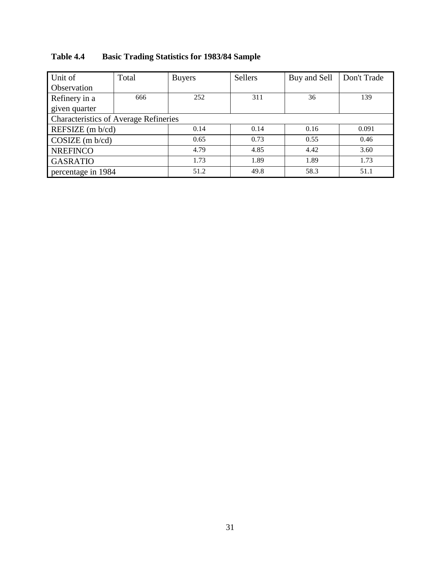| Unit of                                      | Total | <b>Buyers</b> | <b>Sellers</b> | Buy and Sell | Don't Trade |  |
|----------------------------------------------|-------|---------------|----------------|--------------|-------------|--|
| Observation                                  |       |               |                |              |             |  |
| Refinery in a                                | 666   | 252           | 311            | 36           | 139         |  |
| given quarter                                |       |               |                |              |             |  |
| <b>Characteristics of Average Refineries</b> |       |               |                |              |             |  |
| REFSIZE (m b/cd)                             |       | 0.14          | 0.14           | 0.16         | 0.091       |  |
| $COSIZE$ (m $b$ /cd)                         |       | 0.65          | 0.73           | 0.55         | 0.46        |  |
| <b>NREFINCO</b>                              |       | 4.79          | 4.85           | 4.42         | 3.60        |  |
| <b>GASRATIO</b>                              |       | 1.73          | 1.89           | 1.89         | 1.73        |  |
| percentage in 1984                           |       | 51.2          | 49.8           | 58.3         | 51.1        |  |

## **Table 4.4 Basic Trading Statistics for 1983/84 Sample**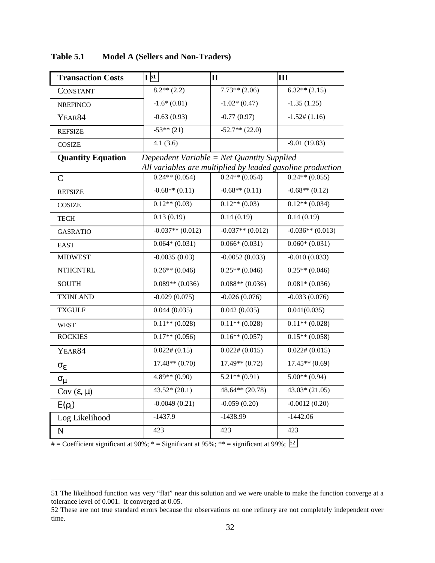| <b>Transaction Costs</b> | I <sub>51</sub>                            | $\mathbf{II}$      | III                                                        |
|--------------------------|--------------------------------------------|--------------------|------------------------------------------------------------|
| <b>CONSTANT</b>          | $8.2**$ (2.2)                              | $7.73**$ (2.06)    | $6.32**$ (2.15)                                            |
| <b>NREFINCO</b>          | $-1.6*(0.81)$                              | $-1.02*(0.47)$     | $-1.35(1.25)$                                              |
| YEAR84                   | $-0.63(0.93)$                              | $-0.77(0.97)$      | $-1.52\#(1.16)$                                            |
| <b>REFSIZE</b>           | $-53**$ (21)                               | $-52.7**$ (22.0)   |                                                            |
| <b>COSIZE</b>            | 4.1(3.6)                                   |                    | $-9.01(19.83)$                                             |
| <b>Quantity Equation</b> | Dependent Variable = Net Quantity Supplied |                    |                                                            |
|                          |                                            |                    | All variables are multiplied by leaded gasoline production |
| $\mathsf{C}$             | $0.24**$ (0.054)                           | $0.24**$ (0.054)   | $0.24**$ (0.055)                                           |
| <b>REFSIZE</b>           | $-0.68**$ (0.11)                           | $-0.68**$ (0.11)   | $-0.68**$ (0.12)                                           |
| <b>COSIZE</b>            | $0.12**$ $\overline{(0.03)}$               | $0.12**$ (0.03)    | $0.12**$ (0.034)                                           |
| <b>TECH</b>              | 0.13(0.19)                                 | 0.14(0.19)         | 0.14(0.19)                                                 |
| <b>GASRATIO</b>          | $-0.037**$ (0.012)                         | $-0.037**$ (0.012) | $-0.036**$ (0.013)                                         |
| <b>EAST</b>              | $0.064*(0.031)$                            | $0.066*(0.031)$    | $0.060*(0.031)$                                            |
| <b>MIDWEST</b>           | $-0.0035(0.03)$                            | $-0.0052(0.033)$   | $-0.010(0.033)$                                            |
| <b>NTHCNTRL</b>          | $0.26**$ (0.046)                           | $0.25**$ (0.046)   | $0.25**$ (0.046)                                           |
| <b>SOUTH</b>             | $0.089**$ (0.036)                          | $0.088**$ (0.036)  | $0.081*(0.036)$                                            |
| <b>TXINLAND</b>          | $-0.029(0.075)$                            | $-0.026(0.076)$    | $-0.033(0.076)$                                            |
| <b>TXGULF</b>            | 0.044(0.035)                               | 0.042(0.035)       | 0.041(0.035)                                               |
| <b>WEST</b>              | $0.11**$ (0.028)                           | $0.11**$ (0.028)   | $0.11**$ (0.028)                                           |
| <b>ROCKIES</b>           | $0.17**$ (0.056)                           | $0.16**$ $(0.057)$ | $0.15**$ (0.058)                                           |
| YEAR84                   | $0.022\# (0.15)$                           | $0.022\# (0.015)$  | $0.022\# (0.015)$                                          |
| $\sigma_{\varepsilon}$   | $17.48**$ (0.70)                           | $17.49**$ (0.72)   | $17.45**$ (0.69)                                           |
| $\sigma_{\mu}$           | $4.89**$ (0.90)                            | $5.21**$ (0.91)    | $5.00**$ (0.94)                                            |
| $Cov(\varepsilon, \mu)$  | $43.52*(20.1)$                             | $48.64**$ (20.78)  | $43.03*(21.05)$                                            |
| $E(\rho_i)$              | $-0.0049(0.21)$                            | $-0.059(0.20)$     | $-0.0012(0.20)$                                            |
| Log Likelihood           | $-1437.9$                                  | $-1438.99$         | $-1442.06$                                                 |
| ${\bf N}$                | 423                                        | 423                | 423                                                        |

**Table 5.1 Model A (Sellers and Non-Traders)** 

 $#$  = Coefficient significant at 90%; \* = Significant at 95%; \*\* = significant at 99%; <sup>52</sup>

<sup>51</sup> The likelihood function was very "flat" near this solution and we were unable to make the function converge at a tolerance level of 0.001. It converged at 0.05.

<sup>52</sup> These are not true standard errors because the observations on one refinery are not completely independent over time.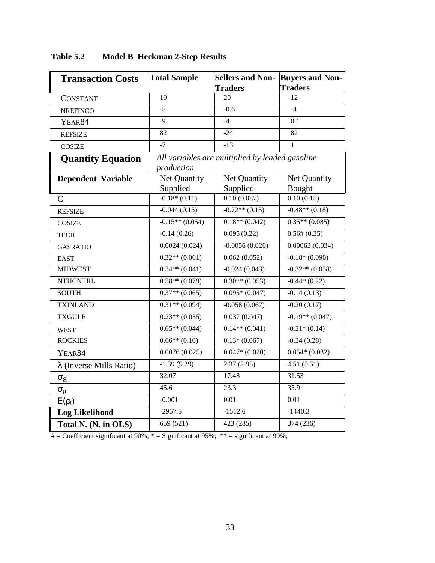| <b>Transaction Costs</b>        | <b>Total Sample</b><br><b>Sellers and Non-</b> |                                                 | <b>Buyers and Non-</b> |
|---------------------------------|------------------------------------------------|-------------------------------------------------|------------------------|
|                                 |                                                | <b>Traders</b><br><b>Traders</b>                |                        |
| <b>CONSTANT</b>                 | 19                                             | 20                                              | 12                     |
| <b>NREFINCO</b>                 | $-5$                                           | $-0.6$                                          | $-4$                   |
| YEAR84                          | $-9$                                           | $-4$                                            | 0.1                    |
| <b>REFSIZE</b>                  | 82                                             | $-24$                                           | 82                     |
| <b>COSIZE</b>                   | $-7$                                           | $-13$                                           | 1                      |
| <b>Quantity Equation</b>        |                                                | All variables are multiplied by leaded gasoline |                        |
|                                 | production                                     |                                                 |                        |
| <b>Dependent Variable</b>       | Net Quantity                                   | Net Quantity                                    | Net Quantity           |
|                                 | Supplied                                       | Supplied                                        | Bought                 |
| $\mathcal{C}$                   | $-0.18*(0.11)$                                 | 0.10(0.087)                                     | 0.10(0.15)             |
| <b>REFSIZE</b>                  | $-0.044(0.15)$                                 | $-0.72**$ $\overline{(0.15)}$                   | $-0.48** (0.18)$       |
| <b>COSIZE</b>                   | $-0.15**$ (0.054)                              | $0.18**$ (0.042)                                | $0.35**$ (0.085)       |
| <b>TECH</b>                     | $-0.14(0.26)$                                  | 0.095(0.22)                                     | $0.56\# (0.35)$        |
| <b>GASRATIO</b>                 | 0.0024(0.024)                                  | $-0.0056(0.020)$                                | 0.00063(0.034)         |
| <b>EAST</b>                     | $0.32**$ (0.061)                               | 0.062(0.052)                                    | $-0.18*(0.090)$        |
| <b>MIDWEST</b>                  | $0.34**$ (0.041)                               | $-0.024(0.043)$                                 | $-0.32**$ (0.058)      |
| <b>NTHCNTRL</b>                 | $0.58**$ (0.079)                               | $0.30**$ (0.053)                                | $-0.44*(0.22)$         |
| <b>SOUTH</b>                    | $0.37**$ (0.065)                               | $0.095*(0.047)$                                 | $-0.14(0.13)$          |
| <b>TXINLAND</b>                 | $0.31**$ (0.094)                               | $-0.058(0.067)$                                 | $-0.20(0.17)$          |
| <b>TXGULF</b>                   | $0.23**$ (0.035)                               | 0.037(0.047)                                    | $-0.19**$ (0.047)      |
| <b>WEST</b>                     | $0.65**$ (0.044)                               | $0.14**$ (0.041)                                | $-0.31*(0.14)$         |
| <b>ROCKIES</b>                  | $0.66**$ $(0.10)$                              | $0.13*(0.067)$                                  | $-0.34(0.28)$          |
| YEAR84                          | 0.0076(0.025)                                  | $0.047*(0.020)$                                 | $0.054*(0.032)$        |
| $\lambda$ (Inverse Mills Ratio) | $-1.39(5.29)$                                  | 2.37(2.95)                                      | 4.51(5.51)             |
| $\sigma_{\varepsilon}$          | 32.07                                          | 17.48                                           | 31.53                  |
| $\sigma_{\mu}$                  | 45.6                                           | 23.3                                            | 35.9                   |
| $E(\rho_i)$                     | $-0.001$                                       | 0.01                                            | 0.01                   |
| <b>Log Likelihood</b>           | $-2967.5$                                      | $-1512.6$                                       | $-1440.3$              |
| Total N. (N. in OLS)            | 659 (521)                                      | 423 (285)                                       | 374 (236)              |

**Table 5.2 Model B Heckman 2-Step Results** 

# = Coefficient significant at 90%;  $*$  = Significant at 95%;  $**$  = significant at 99%;